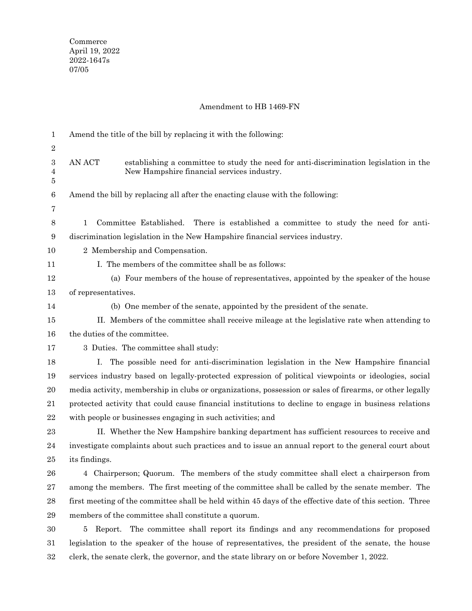## Amendment to HB 1469-FN

| $\mathbf{1}$   | Amend the title of the bill by replacing it with the following:                                                                               |
|----------------|-----------------------------------------------------------------------------------------------------------------------------------------------|
| $\sqrt{2}$     |                                                                                                                                               |
| 3<br>4<br>5    | AN ACT<br>establishing a committee to study the need for anti-discrimination legislation in the<br>New Hampshire financial services industry. |
| $\,6$          | Amend the bill by replacing all after the enacting clause with the following:                                                                 |
| 7              |                                                                                                                                               |
| $8\phantom{1}$ | Committee Established. There is established a committee to study the need for anti-<br>$\mathbf{1}$                                           |
| 9              | discrimination legislation in the New Hampshire financial services industry.                                                                  |
| 10             | 2 Membership and Compensation.                                                                                                                |
| 11             | I. The members of the committee shall be as follows:                                                                                          |
| 12             | (a) Four members of the house of representatives, appointed by the speaker of the house                                                       |
| 13             | of representatives.                                                                                                                           |
| 14             | (b) One member of the senate, appointed by the president of the senate.                                                                       |
| 15             | II. Members of the committee shall receive mileage at the legislative rate when attending to                                                  |
| 16             | the duties of the committee.                                                                                                                  |
| 17             | 3 Duties. The committee shall study:                                                                                                          |
| 18             | The possible need for anti-discrimination legislation in the New Hampshire financial<br>L.                                                    |
| 19             | services industry based on legally-protected expression of political viewpoints or ideologies, social                                         |
| 20             | media activity, membership in clubs or organizations, possession or sales of firearms, or other legally                                       |
| 21             | protected activity that could cause financial institutions to decline to engage in business relations                                         |
| $\bf{22}$      | with people or businesses engaging in such activities; and                                                                                    |
| 23             | II. Whether the New Hampshire banking department has sufficient resources to receive and                                                      |
| 24             | investigate complaints about such practices and to issue an annual report to the general court about                                          |
| 25             | its findings.                                                                                                                                 |
| ${\bf 26}$     | 4 Chairperson; Quorum. The members of the study committee shall elect a chairperson from                                                      |
| $\sqrt{27}$    | among the members. The first meeting of the committee shall be called by the senate member. The                                               |
| 28             | first meeting of the committee shall be held within 45 days of the effective date of this section. Three                                      |
| 29             | members of the committee shall constitute a quorum.                                                                                           |
| 30             | Report. The committee shall report its findings and any recommendations for proposed<br>5                                                     |
| 31             | legislation to the speaker of the house of representatives, the president of the senate, the house                                            |
| 32             | clerk, the senate clerk, the governor, and the state library on or before November 1, 2022.                                                   |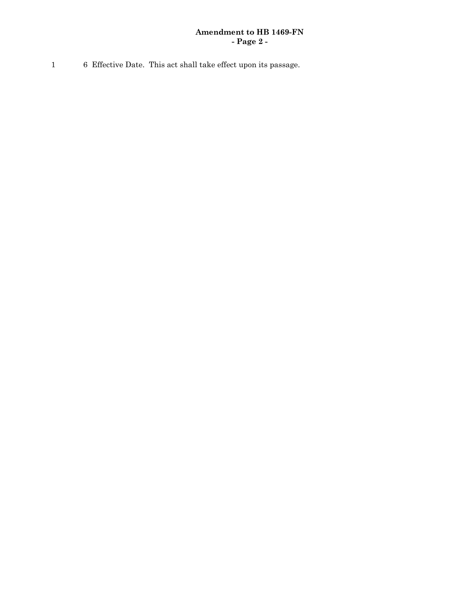## **Amendment to HB 1469-FN - Page 2 -**

1 6 Effective Date. This act shall take effect upon its passage.